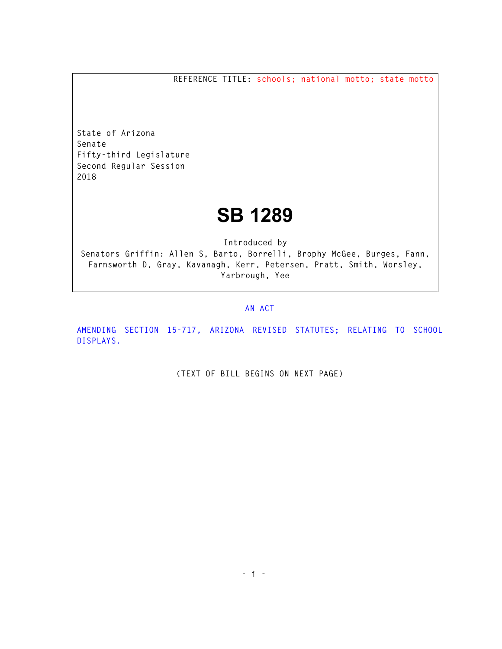**REFERENCE TITLE: schools; national motto; state motto** 

**State of Arizona Senate Fifty-third Legislature Second Regular Session 2018** 

## **SB 1289**

**Introduced by** 

**Senators Griffin: Allen S, Barto, Borrelli, Brophy McGee, Burges, Fann, Farnsworth D, Gray, Kavanagh, Kerr, Petersen, Pratt, Smith, Worsley, Yarbrough, Yee** 

## **AN ACT**

**AMENDING SECTION 15-717, ARIZONA REVISED STATUTES; RELATING TO SCHOOL DISPLAYS.** 

**(TEXT OF BILL BEGINS ON NEXT PAGE)**